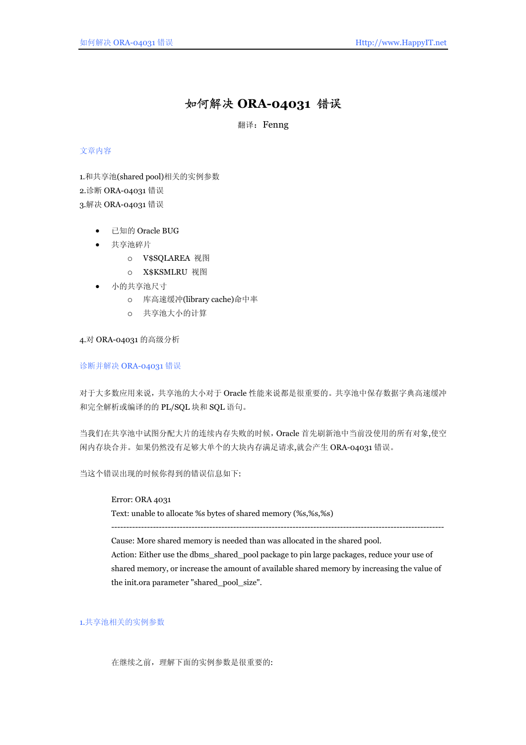# 如何解决 **ORA-04031** 错误

翻译: Fenng

# 文章内容

1.和共享池(shared pool)相关的实例参数

2.诊断 ORA-04031 错误

3.解决 ORA-04031 错误

- 已知的 Oracle BUG
- 共享池碎片
	- o V\$SQLAREA 视图
	- o X\$KSMLRU 视图
- 小的共享池尺寸
	- o 库高速缓冲(library cache)命中率
	- o 共享池大小的计算

4.对 ORA-04031 的高级分析

# 诊断并解决 ORA-04031 错误

对于大多数应用来说,共享池的大小对于 Oracle 性能来说都是很重要的。共享池中保存数据字典高速缓冲 和完全解析或编译的的 PL/SQL 块和 SQL 语句。

当我们在共享池中试图分配大片的连续内存失败的时候,Oracle 首先刷新池中当前没使用的所有对象,使空 闲内存块合并。如果仍然没有足够大单个的大块内存满足请求,就会产生 ORA-04031 错误。

当这个错误出现的时候你得到的错误信息如下:

## Error: ORA 4031

Text: unable to allocate %s bytes of shared memory (%s,%s,%s)

----------------------------------------------------------------------------------------------------------------

Cause: More shared memory is needed than was allocated in the shared pool.

Action: Either use the dbms\_shared\_pool package to pin large packages, reduce your use of shared memory, or increase the amount of available shared memory by increasing the value of the init.ora parameter "shared\_pool\_size".

## 1.共享池相关的实例参数

在继续之前,理解下面的实例参数是很重要的: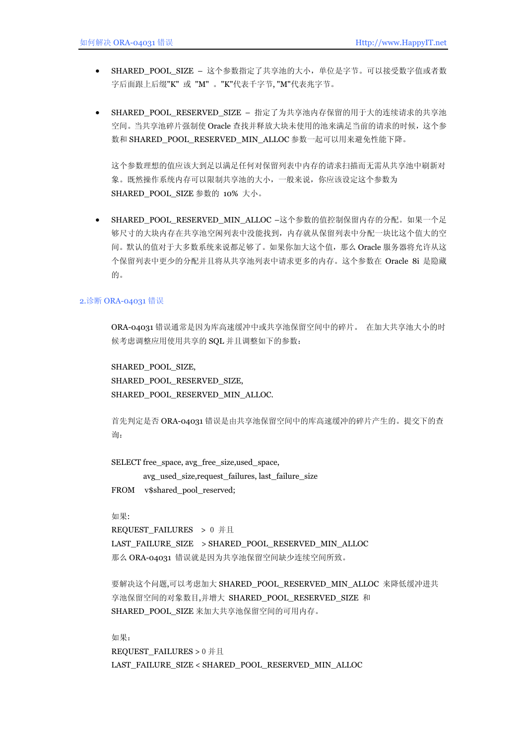- SHARED POOL SIZE 这个参数指定了共享池的大小,单位是字节。可以接受数字值或者数 字后面跟上后缀"K" 或 "M" 。"K"代表千字节, "M"代表兆字节。
- SHARED POOL RESERVED SIZE 指定了为共享池内存保留的用于大的连续请求的共享池 空间。当共享池碎片强制使 Oracle 查找并释放大块未使用的池来满足当前的请求的时候,这个参 数和 SHARED\_POOL\_RESERVED\_MIN\_ALLOC 参数一起可以用来避免性能下降。

这个参数理想的值应该大到足以满足任何对保留列表中内存的请求扫描而无需从共享池中刷新对 象。既然操作系统内存可以限制共享池的大小,一般来说,你应该设定这个参数为 SHARED POOL SIZE 参数的 10% 大小。

SHARED\_POOL\_RESERVED\_MIN\_ALLOC –这个参数的值控制保留内存的分配。如果一个足 够尺寸的大块内存在共享池空闲列表中没能找到,内存就从保留列表中分配一块比这个值大的空 间。默认的值对于大多数系统来说都足够了。如果你加大这个值,那么 Oracle 服务器将允许从这 个保留列表中更少的分配并且将从共享池列表中请求更多的内存。这个参数在 Oracle 8i 是隐藏 的。

#### 2.诊断 ORA-04031 错误

ORA-04031 错误通常是因为库高速缓冲中或共享池保留空间中的碎片。 在加大共享池大小的时 候考虑调整应用使用共享的 SQL 并且调整如下的参数:

SHARED\_POOL\_SIZE, SHARED\_POOL\_RESERVED\_SIZE, SHARED\_POOL\_RESERVED\_MIN\_ALLOC.

首先判定是否 ORA-04031 错误是由共享池保留空间中的库高速缓冲的碎片产生的。提交下的查 询:

SELECT free\_space, avg\_free\_size,used\_space, avg\_used\_size,request\_failures, last\_failure\_size FROM v\$shared\_pool\_reserved;

如果:

REQUEST\_FAILURES > 0 并且 LAST\_FAILURE\_SIZE > SHARED\_POOL\_RESERVED\_MIN\_ALLOC 那么 ORA-04031 错误就是因为共享池保留空间缺少连续空间所致。

要解决这个问题,可以考虑加大 SHARED\_POOL\_RESERVED\_MIN\_ALLOC 来降低缓冲进共 享池保留空间的对象数目,并增大 SHARED POOL RESERVED SIZE 和 SHARED POOL SIZE 来加大共享池保留空间的可用内存。

如果: REQUEST\_FAILURES > 0 并且 LAST\_FAILURE\_SIZE < SHARED\_POOL\_RESERVED\_MIN\_ALLOC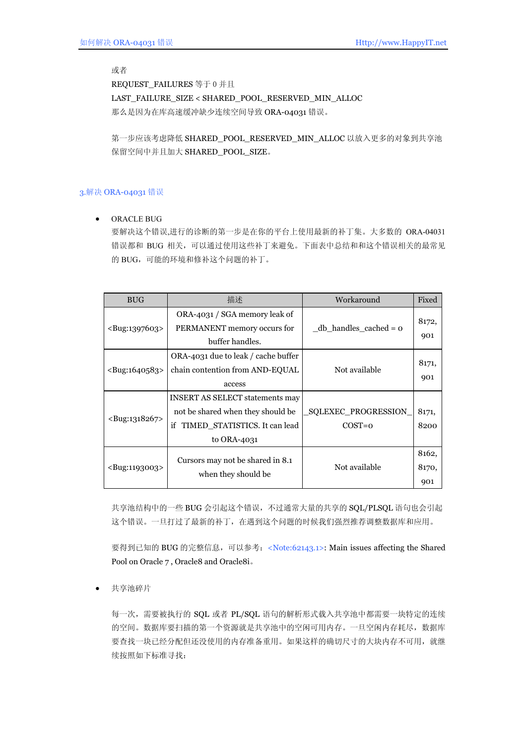或者

REQUEST\_FAILURES 等于 0 并且 LAST\_FAILURE\_SIZE < SHARED\_POOL\_RESERVED\_MIN\_ALLOC 那么是因为在库高速缓冲缺少连续空间导致 ORA-04031 错误。

第一步应该考虑降低 SHARED\_POOL\_RESERVED\_MIN\_ALLOC 以放入更多的对象到共享池 保留空间中并且加大 SHARED\_POOL\_SIZE。

# 3.解决 ORA-04031 错误

• ORACLE BUG

要解决这个错误,进行的诊断的第一步是在你的平台上使用最新的补丁集。大多数的 ORA-04031 错误都和 BUG 相关,可以通过使用这些补丁来避免。下面表中总结和和这个错误相关的最常见 的 BUG, 可能的环境和修补这个问题的补丁。

| <b>BUG</b>                  | 描述                                                                                                                                | Workaround                      | Fixed                 |
|-----------------------------|-----------------------------------------------------------------------------------------------------------------------------------|---------------------------------|-----------------------|
| $\langle$ Bug:1397603>      | ORA-4031 / SGA memory leak of<br>PERMANENT memory occurs for<br>buffer handles.                                                   | $db_{n}$ handles cached = $o$   | 8172,<br>901          |
| $\langle$ Bug:1640583>      | ORA-4031 due to leak / cache buffer<br>chain contention from AND-EQUAL<br>access                                                  | Not available                   | 8171,<br>901          |
| <bug:1318267></bug:1318267> | <b>INSERT AS SELECT statements may</b><br>not be shared when they should be<br>TIMED_STATISTICS. It can lead<br>if<br>to ORA-4031 | SQLEXEC PROGRESSION<br>$COST=0$ | 8171,<br>8200         |
| <bug:1193003></bug:1193003> | Cursors may not be shared in 8.1<br>when they should be                                                                           | Not available                   | 8162,<br>8170,<br>901 |

共享池结构中的一些 BUG 会引起这个错误,不过通常大量的共享的 SQL/PLSQL 语句也会引起 这个错误。一旦打过了最新的补丁,在遇到这个问题的时候我们强烈推荐调整数据库和应用。

要得到已知的 BUG 的完整信息,可以参考:<Note:62143.1>: Main issues affecting the Shared Pool on Oracle 7 , Oracle8 and Oracle8i。

• 共享池碎片

每一次,需要被执行的 SQL 或者 PL/SQL 语句的解析形式载入共享池中都需要一块特定的连续 的空间。数据库要扫描的第一个资源就是共享池中的空闲可用内存。一旦空闲内存耗尽,数据库 要查找一块已经分配但还没使用的内存准备重用。如果这样的确切尺寸的大块内存不可用,就继 续按照如下标准寻找: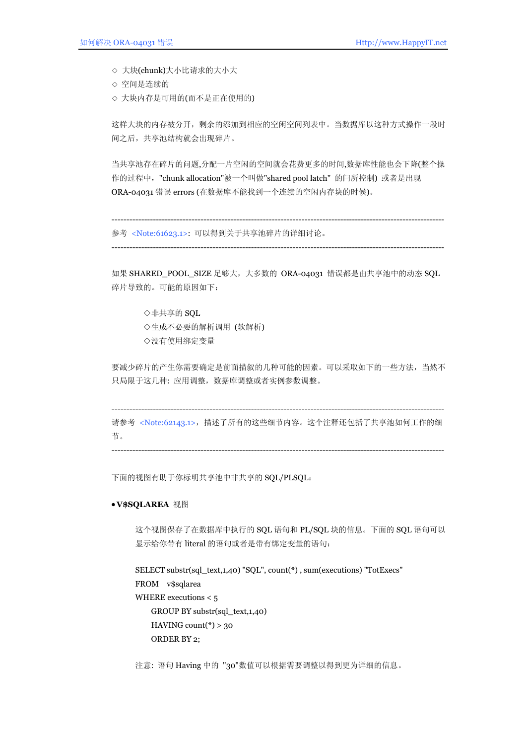◇ 大块(chunk)大小比请求的大小大

- ◇ 空间是连续的
- ◇ 大块内存是可用的(而不是正在使用的)

这样大块的内存被分开,剩余的添加到相应的空闲空间列表中。当数据库以这种方式操作一段时 间之后,共享池结构就会出现碎片。

当共享池存在碎片的问题,分配一片空闲的空间就会花费更多的时间,数据库性能也会下降(整个操 作的过程中, "chunk allocation"被一个叫做"shared pool latch" 的闩所控制) 或者是出现 ORA-04031 错误 errors (在数据库不能找到一个连续的空闲内存块的时候)。

---------------------------------------------------------------------------------------------------------------- 参考 <Note:61623.1>: 可以得到关于共享池碎片的详细讨论。

----------------------------------------------------------------------------------------------------------------

如果 SHARED\_POOL\_SIZE 足够大,大多数的 ORA-04031 错误都是由共享池中的动态 SOL 碎片导致的。可能的原因如下:

◇非共享的 SQL ◇生成不必要的解析调用 (软解析) ◇没有使用绑定变量

要减少碎片的产生你需要确定是前面描叙的几种可能的因素。可以采取如下的一些方法,当然不 只局限于这几种: 应用调整,数据库调整或者实例参数调整。

---------------------------------------------------------------------------------------------------------------- 请参考 <Note:62143.1>,描述了所有的这些细节内容。这个注释还包括了共享池如何工作的细 节。

----------------------------------------------------------------------------------------------------------------

下面的视图有助于你标明共享池中非共享的 SQL/PLSQL:

#### • **V\$SQLAREA** 视图

这个视图保存了在数据库中执行的 SQL 语句和 PL/SQL 块的信息。下面的 SQL 语句可以 显示给你带有 literal 的语句或者是带有绑定变量的语句:

```
SELECT substr(sql_text,1,40) "SQL", count(*) , sum(executions) "TotExecs" 
FROM v$sqlarea 
WHERE executions < 5 
     GROUP BY substr(sql_text,1,40) 
    HAVING count(*) > 30
     ORDER BY 2;
```
注意: 语句 Having 中的 "30"数值可以根据需要调整以得到更为详细的信息。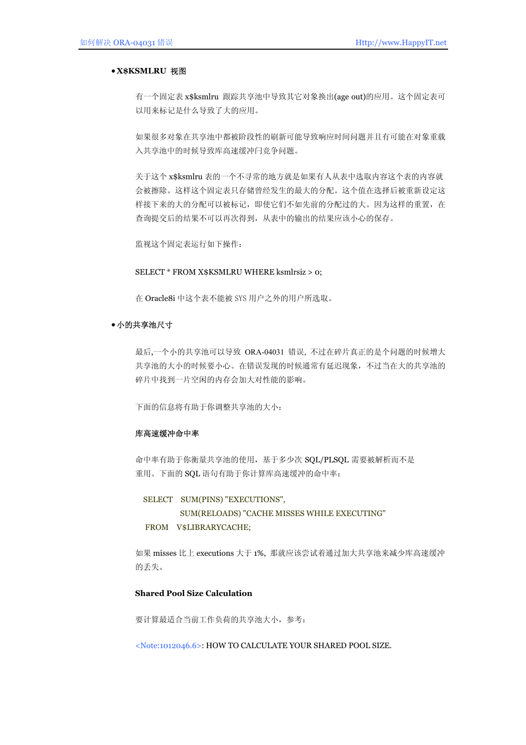#### • **X\$KSMLRU** 视图

有一个固定表 x\$ksmlru 跟踪共享池中导致其它对象换出(age out)的应用。这个固定表可 以用来标记是什么导致了大的应用。

如果很多对象在共享池中都被阶段性的刷新可能导致响应时间问题并且有可能在对象重载 入共享池中的时候导致库高速缓冲闩竞争问题。

关于这个 x\$ksmlru 表的一个不寻常的地方就是如果有人从表中选取内容这个表的内容就 会被擦除。这样这个固定表只存储曾经发生的最大的分配。这个值在选择后被重新设定这 样接下来的大的分配可以被标记,即使它们不如先前的分配过的大。因为这样的重置,在 查询提交后的结果不可以再次得到,从表中的输出的结果应该小心的保存。

监视这个固定表运行如下操作:

#### SELECT \* FROM X\$KSMLRU WHERE ksmlrsiz > 0;

在 Oracle8i 中这个表不能被 SYS 用户之外的用户所选取。

## • 小的共享池尺寸

最后,一个小的共享池可以导致 ORA-04031 错误, 不过在碎片真正的是个问题的时候增大 共享池的大小的时候要小心。在错误发现的时候通常有延迟现象,不过当在大的共享池的 碎片中找到一片空闲的内存会加大对性能的影响。

下面的信息将有助于你调整共享池的大小:

## 库高速缓冲命中率

命中率有助于你衡量共享池的使用,基于多少次 SQL/PLSQL 需要被解析而不是 重用。下面的 SQL 语句有助于你计算库高速缓冲的命中率:

SELECT SUM(PINS) "EXECUTIONS", SUM(RELOADS) "CACHE MISSES WHILE EXECUTING" FROM V\$LIBRARYCACHE;

如果 misses 比上 executions 大于 1%, 那就应该尝试着通过加大共享池来减少库高速缓冲 的丢失。

## **Shared Pool Size Calculation**

要计算最适合当前工作负荷的共享池大小,参考:

<Note:1012046.6>: HOW TO CALCULATE YOUR SHARED POOL SIZE.